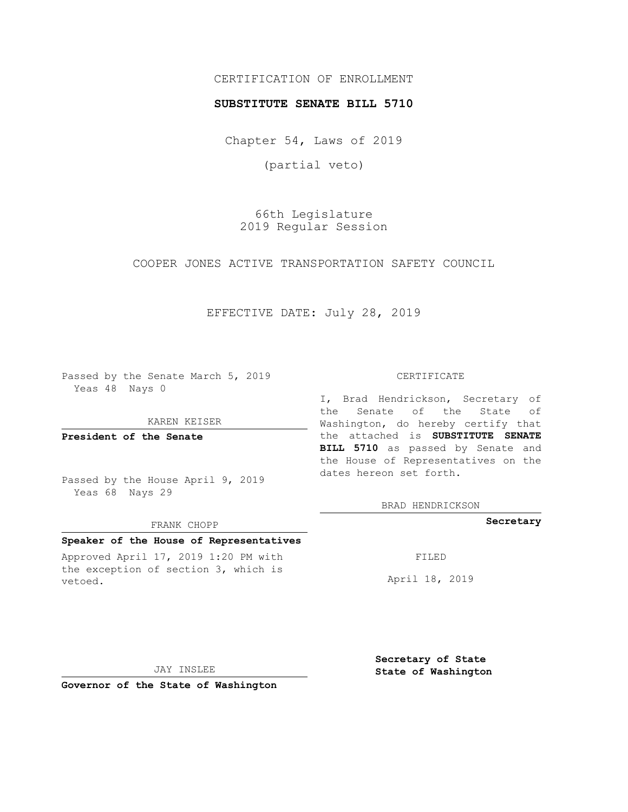# CERTIFICATION OF ENROLLMENT

### **SUBSTITUTE SENATE BILL 5710**

Chapter 54, Laws of 2019

(partial veto)

66th Legislature 2019 Regular Session

COOPER JONES ACTIVE TRANSPORTATION SAFETY COUNCIL

# EFFECTIVE DATE: July 28, 2019

Passed by the Senate March 5, 2019 Yeas 48 Nays 0

#### KAREN KEISER

**President of the Senate**

Passed by the House April 9, 2019 Yeas 68 Nays 29

#### FRANK CHOPP

## **Speaker of the House of Representatives**

Approved April 17, 2019 1:20 PM with the exception of section 3, which is vetoed.

#### CERTIFICATE

I, Brad Hendrickson, Secretary of the Senate of the State of Washington, do hereby certify that the attached is **SUBSTITUTE SENATE BILL 5710** as passed by Senate and the House of Representatives on the dates hereon set forth.

BRAD HENDRICKSON

### **Secretary**

FILED

April 18, 2019

JAY INSLEE

**Governor of the State of Washington**

**Secretary of State State of Washington**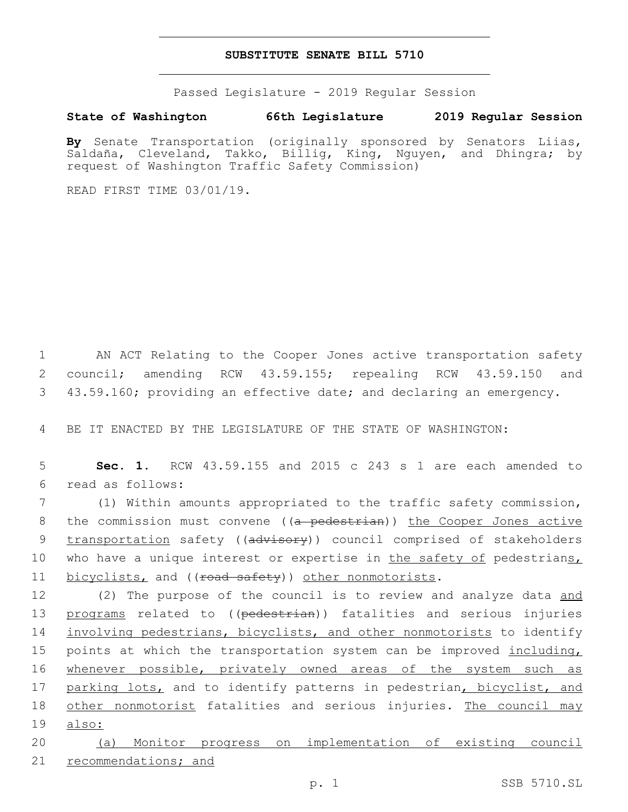## **SUBSTITUTE SENATE BILL 5710**

Passed Legislature - 2019 Regular Session

## **State of Washington 66th Legislature 2019 Regular Session**

**By** Senate Transportation (originally sponsored by Senators Liias, Saldaña, Cleveland, Takko, Billig, King, Nguyen, and Dhingra; by request of Washington Traffic Safety Commission)

READ FIRST TIME 03/01/19.

1 AN ACT Relating to the Cooper Jones active transportation safety 2 council; amending RCW 43.59.155; repealing RCW 43.59.150 and 3 43.59.160; providing an effective date; and declaring an emergency.

4 BE IT ENACTED BY THE LEGISLATURE OF THE STATE OF WASHINGTON:

5 **Sec. 1.** RCW 43.59.155 and 2015 c 243 s 1 are each amended to read as follows:6

7 (1) Within amounts appropriated to the traffic safety commission, 8 the commission must convene ((a pedestrian)) the Cooper Jones active 9 transportation safety ((advisory)) council comprised of stakeholders 10 who have a unique interest or expertise in the safety of pedestrians, 11 bicyclists, and ((road safety)) other nonmotorists.

12 (2) The purpose of the council is to review and analyze data and 13 programs related to ((pedestrian)) fatalities and serious injuries 14 involving pedestrians, bicyclists, and other nonmotorists to identify 15 points at which the transportation system can be improved including, 16 whenever possible, privately owned areas of the system such as 17 parking lots, and to identify patterns in pedestrian, bicyclist, and 18 other nonmotorist fatalities and serious injuries. The council may 19 also:

20 (a) Monitor progress on implementation of existing council 21 recommendations; and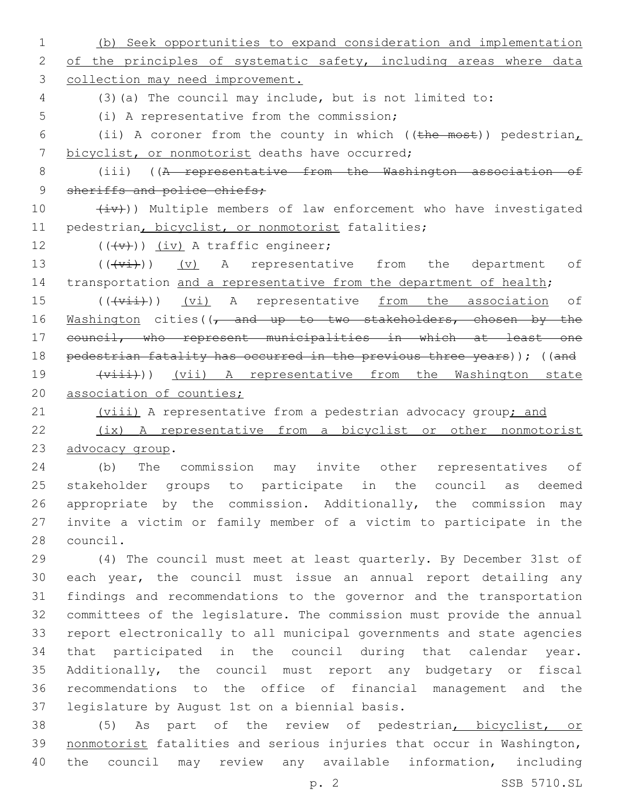1 (b) Seek opportunities to expand consideration and implementation 2 of the principles of systematic safety, including areas where data 3 collection may need improvement. 4 (3)(a) The council may include, but is not limited to: 5 (i) A representative from the commission; 6 (ii) A coroner from the county in which (( $t$ he most)) pedestrian, 7 bicyclist, or nonmotorist deaths have occurred; 8 (iii) ((A representative from the Washington association of 9 sheriffs and police chiefs; 10  $(iv)$ ) Multiple members of law enforcement who have investigated 11 pedestrian, bicyclist, or nonmotorist fatalities; 12  $((\downarrow \downarrow \downarrow))$   $(i \vee j)$  A traffic engineer; 13 (((vi)) (v) A representative from the department of 14 transportation and a representative from the department of health; 15 (((vii)) (vi) A representative from the association of 16 Washington cities((, and up to two stakeholders, chosen by the 17 council, who represent municipalities in which at least one 18 pedestrian fatality has occurred in the previous three years)); ((and 19 (viii) A representative from the Washington state 20 association of counties; 21 (viii) A representative from a pedestrian advocacy group; and 22 (ix) A representative from a bicyclist or other nonmotorist 23 advocacy group. 24 (b) The commission may invite other representatives of 25 stakeholder groups to participate in the council as deemed 26 appropriate by the commission. Additionally, the commission may 27 invite a victim or family member of a victim to participate in the 28 council. 29 (4) The council must meet at least quarterly. By December 31st of 30 each year, the council must issue an annual report detailing any 31 findings and recommendations to the governor and the transportation 32 committees of the legislature. The commission must provide the annual 33 report electronically to all municipal governments and state agencies 34 that participated in the council during that calendar year. 35 Additionally, the council must report any budgetary or fiscal 36 recommendations to the office of financial management and the 37 legislature by August 1st on a biennial basis. 38 (5) As part of the review of pedestrian, bicyclist, or 39 nonmotorist fatalities and serious injuries that occur in Washington,

p. 2 SSB 5710.SL

40 the council may review any available information, including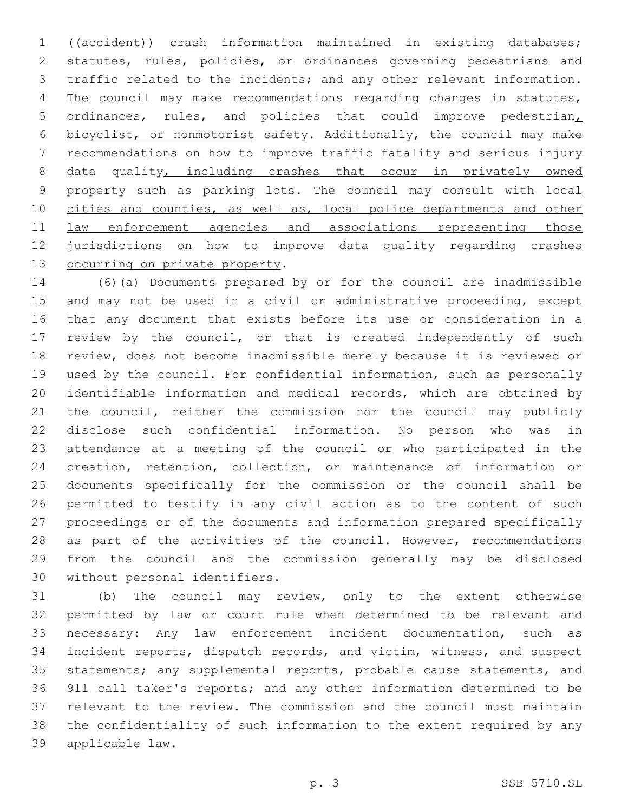((accident)) crash information maintained in existing databases; statutes, rules, policies, or ordinances governing pedestrians and traffic related to the incidents; and any other relevant information. The council may make recommendations regarding changes in statutes, ordinances, rules, and policies that could improve pedestrian, bicyclist, or nonmotorist safety. Additionally, the council may make recommendations on how to improve traffic fatality and serious injury 8 data quality, including crashes that occur in privately owned 9 property such as parking lots. The council may consult with local cities and counties, as well as, local police departments and other 11 law enforcement agencies and associations representing those jurisdictions on how to improve data quality regarding crashes 13 occurring on private property.

 (6)(a) Documents prepared by or for the council are inadmissible and may not be used in a civil or administrative proceeding, except that any document that exists before its use or consideration in a review by the council, or that is created independently of such review, does not become inadmissible merely because it is reviewed or used by the council. For confidential information, such as personally identifiable information and medical records, which are obtained by the council, neither the commission nor the council may publicly disclose such confidential information. No person who was in attendance at a meeting of the council or who participated in the creation, retention, collection, or maintenance of information or documents specifically for the commission or the council shall be permitted to testify in any civil action as to the content of such proceedings or of the documents and information prepared specifically 28 as part of the activities of the council. However, recommendations from the council and the commission generally may be disclosed 30 without personal identifiers.

 (b) The council may review, only to the extent otherwise permitted by law or court rule when determined to be relevant and necessary: Any law enforcement incident documentation, such as incident reports, dispatch records, and victim, witness, and suspect statements; any supplemental reports, probable cause statements, and 911 call taker's reports; and any other information determined to be relevant to the review. The commission and the council must maintain the confidentiality of such information to the extent required by any applicable law.39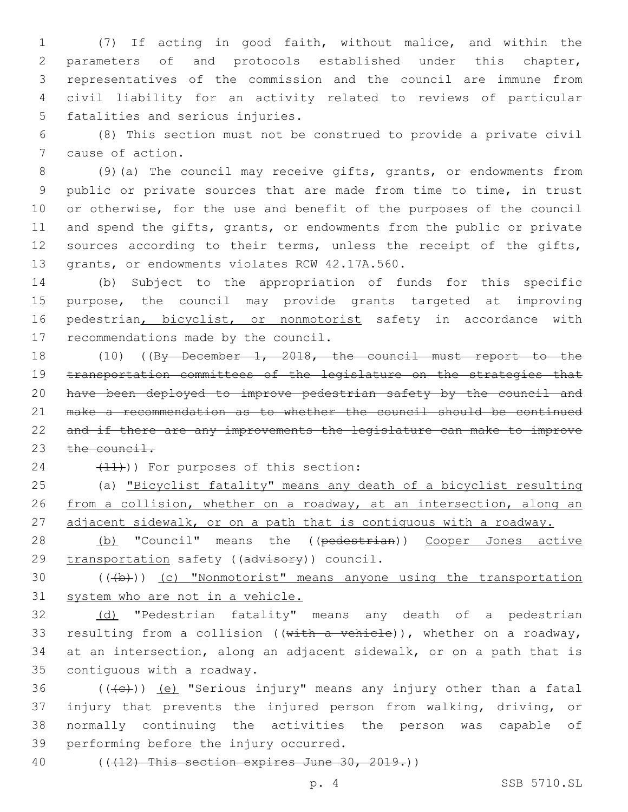(7) If acting in good faith, without malice, and within the parameters of and protocols established under this chapter, representatives of the commission and the council are immune from civil liability for an activity related to reviews of particular 5 fatalities and serious injuries.

6 (8) This section must not be construed to provide a private civil 7 cause of action.

8 (9)(a) The council may receive gifts, grants, or endowments from 9 public or private sources that are made from time to time, in trust 10 or otherwise, for the use and benefit of the purposes of the council 11 and spend the gifts, grants, or endowments from the public or private 12 sources according to their terms, unless the receipt of the gifts, 13 grants, or endowments violates RCW 42.17A.560.

14 (b) Subject to the appropriation of funds for this specific 15 purpose, the council may provide grants targeted at improving 16 pedestrian, bicyclist, or nonmotorist safety in accordance with 17 recommendations made by the council.

 (10) ((By December 1, 2018, the council must report to the transportation committees of the legislature on the strategies that have been deployed to improve pedestrian safety by the council and make a recommendation as to whether the council should be continued and if there are any improvements the legislature can make to improve 23 the council.

24 (11)) For purposes of this section:

25 (a) "Bicyclist fatality" means any death of a bicyclist resulting 26 from a collision, whether on a roadway, at an intersection, along an 27 adjacent sidewalk, or on a path that is contiguous with a roadway.

28 (b) "Council" means the ((pedestrian)) Cooper Jones active 29 transportation safety ((advisory)) council.

30 (((b))) (c) "Nonmotorist" means anyone using the transportation 31 system who are not in a vehicle.

32 (d) "Pedestrian fatality" means any death of a pedestrian 33 resulting from a collision ((with a vehicle)), whether on a roadway, 34 at an intersection, along an adjacent sidewalk, or on a path that is 35 contiguous with a roadway.

 $((+e))$   $(e)$  "Serious injury" means any injury other than a fatal injury that prevents the injured person from walking, driving, or normally continuing the activities the person was capable of 39 performing before the injury occurred.

40 (((12) This section expires June 30, 2019.))

p. 4 SSB 5710.SL